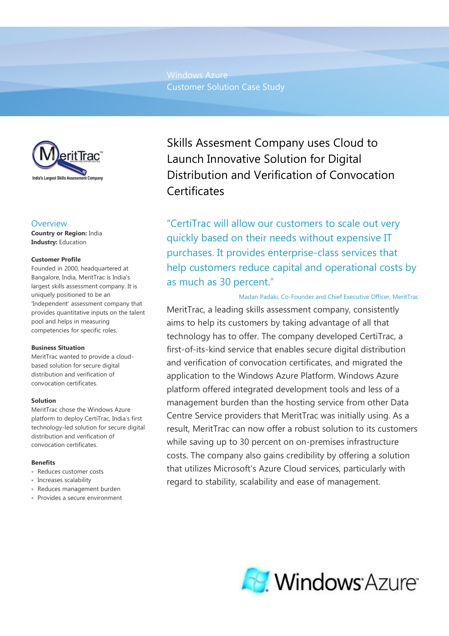Windows Azure Customer Solution Case Study



## **Overview**

Country or Region: India Industry: Education

### Customer Profile

Founded in 2000, headquartered at Bangalore, India, MeritTrac is India's largest skills assessment company. It is uniquely positioned to be an 'Independent' assessment company that provides quantitative inputs on the talent pool and helps in measuring competencies for specific roles.

### Business Situation

MeritTrac wanted to provide a cloudbased solution for secure digital distribution and verification of convocation certificates.

### Solution

MeritTrac chose the Windows Azure platform to deploy CertiTrac, India's first technology-led solution for secure digital distribution and verification of convocation certificates.

## Benefits

- Reduces customer costs
- Increases scalability
- Reduces management burden
- Provides a secure environment

Skills Assesment Company uses Cloud to Launch Innovative Solution for Digital Distribution and Verification of Convocation **Certificates** 

"CertiTrac will allow our customers to scale out very quickly based on their needs without expensive IT purchases. It provides enterprise-class services that help customers reduce capital and operational costs by as much as 30 percent."

## Madan Padaki, Co-Founder and Chief Executive Officer, MeritTrac

 MeritTrac, a leading skills assessment company, consistently aims to help its customers by taking advantage of all that technology has to offer. The company developed CertiTrac, a first-of-its-kind service that enables secure digital distribution and verification of convocation certificates, and migrated the application to the Windows Azure Platform. Windows Azure platform offered integrated development tools and less of a management burden than the hosting service from other Data Centre Service providers that MeritTrac was initially using. As a result, MeritTrac can now offer a robust solution to its customers while saving up to 30 percent on on-premises infrastructure costs. The company also gains credibility by offering a solution that utilizes Microsoft's Azure Cloud services, particularly with regard to stability, scalability and ease of management.

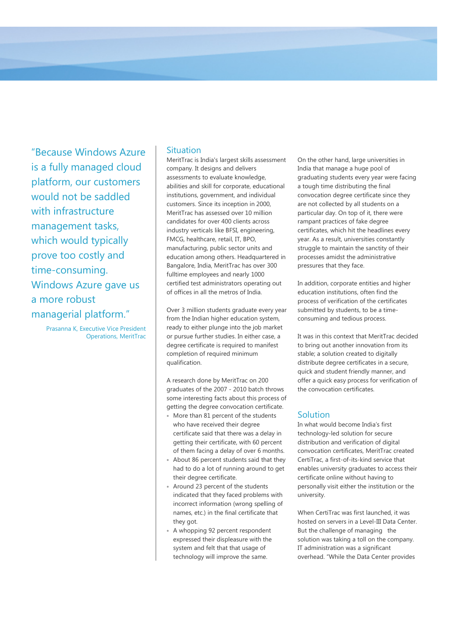"Because Windows Azure is a fully managed cloud platform, our customers would not be saddled with infrastructure management tasks, which would typically prove too costly and time-consuming. Windows Azure gave us a more robust managerial platform."

> Prasanna K, Executive Vice President Operations, MeritTrac

# Situation

MeritTrac is India's largest skills assessment company. It designs and delivers assessments to evaluate knowledge, abilities and skill for corporate, educational institutions, government, and individual customers. Since its inception in 2000, MeritTrac has assessed over 10 million candidates for over 400 clients across industry verticals like BFSI, engineering, FMCG, healthcare, retail, IT, BPO, manufacturing, public sector units and education among others. Headquartered in Bangalore, India, MeritTrac has over 300 fulltime employees and nearly 1000 certified test administrators operating out of offices in all the metros of India.

Over 3 million students graduate every year from the Indian higher education system, ready to either plunge into the job market or pursue further studies. In either case, a degree certificate is required to manifest completion of required minimum qualification.

A research done by MeritTrac on 200 graduates of the 2007 - 2010 batch throws some interesting facts about this process of getting the degree convocation certificate.

- More than 81 percent of the students who have received their degree certificate said that there was a delay in getting their certificate, with 60 percent of them facing a delay of over 6 months.
- About 86 percent students said that they had to do a lot of running around to get their degree certificate.
- Around 23 percent of the students indicated that they faced problems with incorrect information (wrong spelling of names, etc.) in the final certificate that they got.
- A whopping 92 percent respondent expressed their displeasure with the system and felt that that usage of technology will improve the same.

On the other hand, large universities in India that manage a huge pool of graduating students every year were facing a tough time distributing the final convocation degree certificate since they are not collected by all students on a particular day. On top of it, there were rampant practices of fake degree certificates, which hit the headlines every year. As a result, universities constantly struggle to maintain the sanctity of their processes amidst the administrative pressures that they face.

In addition, corporate entities and higher education institutions, often find the process of verification of the certificates submitted by students, to be a timeconsuming and tedious process.

It was in this context that MeritTrac decided to bring out another innovation from its stable; a solution created to digitally distribute degree certificates in a secure, quick and student friendly manner, and offer a quick easy process for verification of the convocation certificates.

# **Solution**

In what would become India's first technology-led solution for secure distribution and verification of digital convocation certificates, MeritTrac created CertiTrac, a first-of-its-kind service that enables university graduates to access their certificate online without having to personally visit either the institution or the university.

When CertiTrac was first launched, it was hosted on servers in a Level-III Data Center. But the challenge of managing the solution was taking a toll on the company. IT administration was a significant overhead. "While the Data Center provides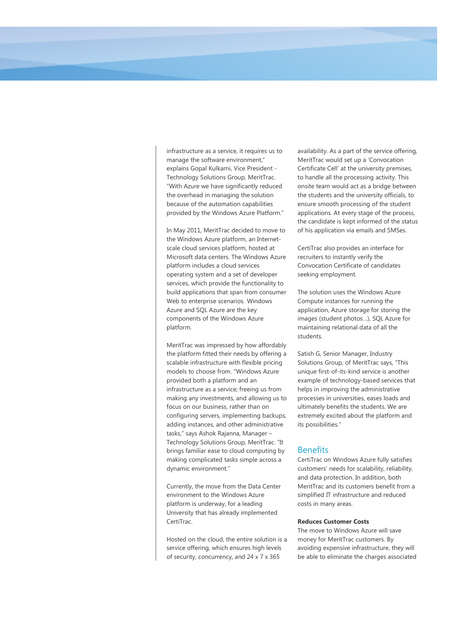infrastructure as a service, it requires us to manage the software environment," explains Gopal Kulkarni, Vice President - Technology Solutions Group, MeritTrac. "With Azure we have significantly reduced the overhead in managing the solution because of the automation capabilities provided by the Windows Azure Platform."

In May 2011, MeritTrac decided to move to the Windows Azure platform, an Internetscale cloud services platform, hosted at Microsoft data centers. The Windows Azure platform includes a cloud services operating system and a set of developer services, which provide the functionality to build applications that span from consumer Web to enterprise scenarios. Windows Azure and SQL Azure are the key components of the Windows Azure platform.

MeritTrac was impressed by how affordably the platform fitted their needs by offering a scalable infrastructure with flexible pricing models to choose from. "Windows Azure provided both a platform and an infrastructure as a service; freeing us from making any investments, and allowing us to focus on our business, rather than on configuring servers, implementing backups, adding instances, and other administrative tasks," says Ashok Rajanna, Manager – Technology Solutions Group, MeritTrac. "It brings familiar ease to cloud computing by making complicated tasks simple across a dynamic environment."

Currently, the move from the Data Center environment to the Windows Azure platform is underway, for a leading University that has already implemented CertiTrac.

Hosted on the cloud, the entire solution is a service offering, which ensures high levels of security, concurrency, and 24 x 7 x 365

availability. As a part of the service offering, MeritTrac would set up a 'Convocation Certificate Cell' at the university premises, to handle all the processing activity. This onsite team would act as a bridge between the students and the university officials, to ensure smooth processing of the student applications. At every stage of the process, the candidate is kept informed of the status of his application via emails and SMSes.

CertiTrac also provides an interface for recruiters to instantly verify the Convocation Certificate of candidates seeking employment.

The solution uses the Windows Azure Compute instances for running the application, Azure storage for storing the images (student photos…), SQL Azure for maintaining relational data of all the students.

Satish G, Senior Manager, Industry Solutions Group, of MeritTrac says, "This unique first-of-its-kind service is another example of technology-based services that helps in improving the administrative processes in universities, eases loads and ultimately benefits the students. We are extremely excited about the platform and its possibilities."

# **Benefits**

CertiTrac on Windows Azure fully satisfies customers' needs for scalability, reliability, and data protection. In addition, both MeritTrac and its customers benefit from a simplified IT infrastructure and reduced costs in many areas.

#### Reduces Customer Costs

The move to Windows Azure will save money for MeritTrac customers. By avoiding expensive infrastructure, they will be able to eliminate the charges associated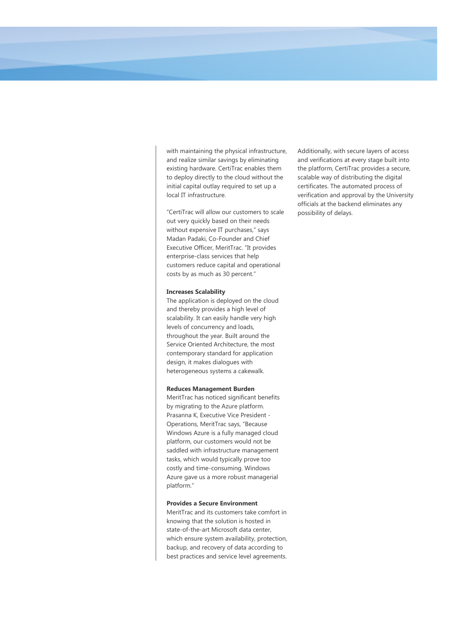with maintaining the physical infrastructure, and realize similar savings by eliminating existing hardware. CertiTrac enables them to deploy directly to the cloud without the initial capital outlay required to set up a local IT infrastructure.

"CertiTrac will allow our customers to scale out very quickly based on their needs without expensive IT purchases," says Madan Padaki, Co-Founder and Chief Executive Officer, MeritTrac. "It provides enterprise-class services that help customers reduce capital and operational costs by as much as 30 percent."

#### Increases Scalability

The application is deployed on the cloud and thereby provides a high level of scalability. It can easily handle very high levels of concurrency and loads, throughout the year. Built around the Service Oriented Architecture, the most contemporary standard for application design, it makes dialogues with heterogeneous systems a cakewalk.

#### Reduces Management Burden

MeritTrac has noticed significant benefits by migrating to the Azure platform. Prasanna K, Executive Vice President - Operations, MeritTrac says, "Because Windows Azure is a fully managed cloud platform, our customers would not be saddled with infrastructure management tasks, which would typically prove too costly and time-consuming. Windows Azure gave us a more robust managerial platform."

#### Provides a Secure Environment

MeritTrac and its customers take comfort in knowing that the solution is hosted in state-of-the-art Microsoft data center, which ensure system availability, protection, backup, and recovery of data according to best practices and service level agreements.

Additionally, with secure layers of access and verifications at every stage built into the platform, CertiTrac provides a secure, scalable way of distributing the digital certificates. The automated process of verification and approval by the University officials at the backend eliminates any possibility of delays.